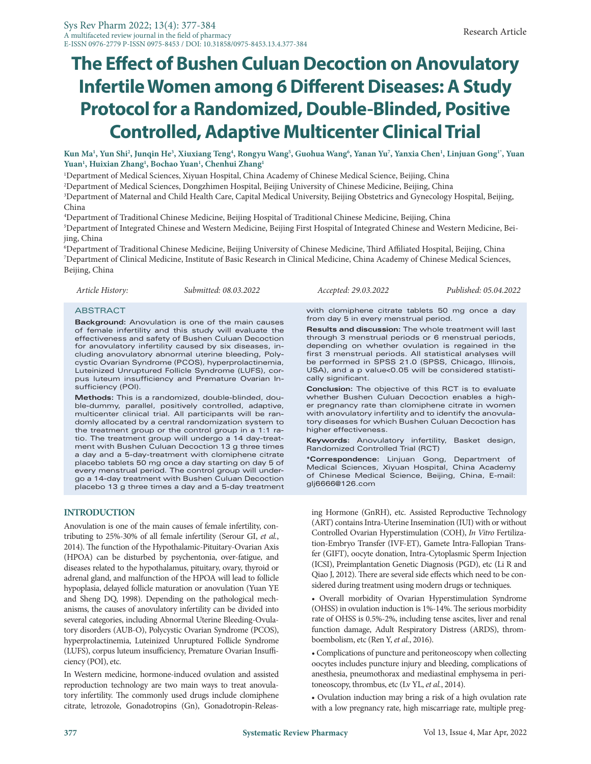# **The Effect of Bushen Culuan Decoction on Anovulatory Infertile Women among 6 Different Diseases: A Study Protocol for a Randomized, Double-Blinded, Positive Controlled, Adaptive Multicenter Clinical Trial**

**Kun Ma1 , Yun Shi2 , Junqin He3 , Xiuxiang Teng4 , Rongyu Wang5 , Guohua Wang6 , Yanan Yu7 , Yanxia Chen1 , Linjuan Gong1\*, Yuan Yuan1 , Huixian Zhang1 , Bochao Yuan1 , Chenhui Zhang1**

1 Department of Medical Sciences, Xiyuan Hospital, China Academy of Chinese Medical Science, Beijing, China

2 Department of Medical Sciences, Dongzhimen Hospital, Beijing University of Chinese Medicine, Beijing, China

3 Department of Maternal and Child Health Care, Capital Medical University, Beijing Obstetrics and Gynecology Hospital, Beijing, China

4 Department of Traditional Chinese Medicine, Beijing Hospital of Traditional Chinese Medicine, Beijing, China 5 Department of Integrated Chinese and Western Medicine, Beijing First Hospital of Integrated Chinese and Western Medicine, Beijing, China

6 Department of Traditional Chinese Medicine, Beijing University of Chinese Medicine, Third Affiliated Hospital, Beijing, China 7 Department of Clinical Medicine, Institute of Basic Research in Clinical Medicine, China Academy of Chinese Medical Sciences, Beijing, China

*Article History: Submitted: 08.03.2022 Accepted: 29.03.2022 Published: 05.04.2022*

#### ABSTRACT

**Background:** Anovulation is one of the main causes of female infertility and this study will evaluate the effectiveness and safety of Bushen Culuan Decoction for anovulatory infertility caused by six diseases, including anovulatory abnormal uterine bleeding, Polycystic Ovarian Syndrome (PCOS), hyperprolactinemia, Luteinized Unruptured Follicle Syndrome (LUFS), corpus luteum insufficiency and Premature Ovarian Insufficiency (POI).

**Methods:** This is a randomized, double-blinded, double-dummy, parallel, positively controlled, adaptive, multicenter clinical trial. All participants will be randomly allocated by a central randomization system to the treatment group or the control group in a 1:1 ratio. The treatment group will undergo a 14 day-treatment with Bushen Culuan Decoction 13 g three times a day and a 5-day-treatment with clomiphene citrate placebo tablets 50 mg once a day starting on day 5 of every menstrual period. The control group will undergo a 14-day treatment with Bushen Culuan Decoction placebo 13 g three times a day and a 5-day treatment

## **INTRODUCTION**

Anovulation is one of the main causes of female infertility, contributing to 25%-30% of all female infertility (Serour GI, *et al.*, 2014). The function of the Hypothalamic-Pituitary-Ovarian Axis (HPOA) can be disturbed by psychentonia, over-fatigue, and diseases related to the hypothalamus, pituitary, ovary, thyroid or adrenal gland, and malfunction of the HPOA will lead to follicle hypoplasia, delayed follicle maturation or anovulation (Yuan YE and Sheng DQ, 1998). Depending on the pathological mechanisms, the causes of anovulatory infertility can be divided into several categories, including Abnormal Uterine Bleeding-Ovulatory disorders (AUB-O), Polycystic Ovarian Syndrome (PCOS), hyperprolactinemia, Luteinized Unruptured Follicle Syndrome (LUFS), corpus luteum insufficiency, Premature Ovarian Insufficiency (POI), etc.

In Western medicine, hormone-induced ovulation and assisted reproduction technology are two main ways to treat anovulatory infertility. The commonly used drugs include clomiphene citrate, letrozole, Gonadotropins (Gn), Gonadotropin-Releas-

with clomiphene citrate tablets 50 mg once a day from day 5 in every menstrual period.

**Results and discussion:** The whole treatment will last through 3 menstrual periods or 6 menstrual periods, depending on whether ovulation is regained in the first 3 menstrual periods. All statistical analyses will be performed in SPSS 21.0 (SPSS, Chicago, Illinois, USA), and a p value<0.05 will be considered statistically significant.

**Conclusion:** The objective of this RCT is to evaluate whether Bushen Culuan Decoction enables a higher pregnancy rate than clomiphene citrate in women with anovulatory infertility and to identify the anovulatory diseases for which Bushen Culuan Decoction has higher effectiveness.

**Keywords:** Anovulatory infertility, Basket design, Randomized Controlled Trial (RCT)

**\*Correspondence:** Linjuan Gong, Department of Medical Sciences, Xiyuan Hospital, China Academy of Chinese Medical Science, Beijing, China, E-mail: glj6666@126.com

ing Hormone (GnRH), etc. Assisted Reproductive Technology (ART) contains Intra-Uterine Insemination (IUI) with or without Controlled Ovarian Hyperstimulation (COH), *In Vitro* Fertilization-Embryo Transfer (IVF-ET), Gamete Intra-Fallopian Transfer (GIFT), oocyte donation, Intra-Cytoplasmic Sperm Injection (ICSI), Preimplantation Genetic Diagnosis (PGD), etc (Li R and Qiao J, 2012). There are several side effects which need to be considered during treatment using modern drugs or techniques.

• Overall morbidity of Ovarian Hyperstimulation Syndrome (OHSS) in ovulation induction is 1%-14%. The serious morbidity rate of OHSS is 0.5%-2%, including tense ascites, liver and renal function damage, Adult Respiratory Distress (ARDS), thromboembolism, etc (Ren Y, *et al.*, 2016).

• Complications of puncture and peritoneoscopy when collecting oocytes includes puncture injury and bleeding, complications of anesthesia, pneumothorax and mediastinal emphysema in peritoneoscopy, thrombus, etc (Lv YL, *et al.*, 2014).

• Ovulation induction may bring a risk of a high ovulation rate with a low pregnancy rate, high miscarriage rate, multiple preg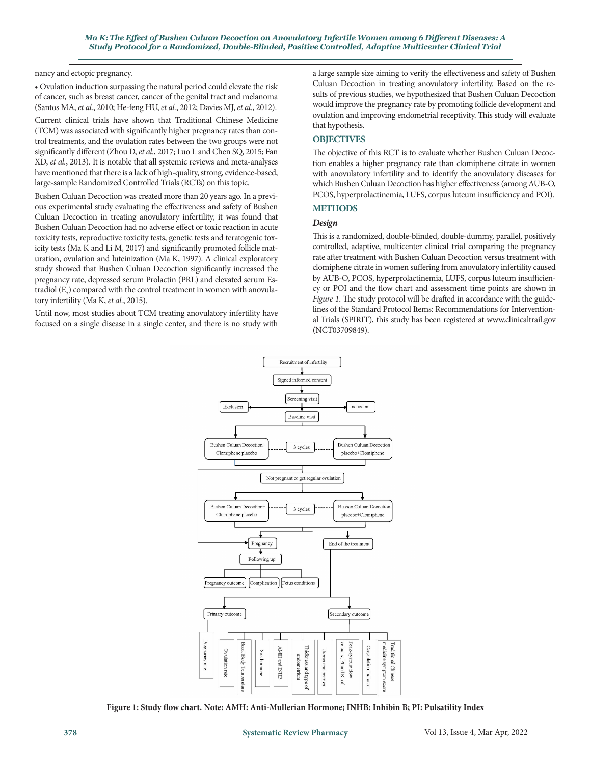nancy and ectopic pregnancy.

• Ovulation induction surpassing the natural period could elevate the risk of cancer, such as breast cancer, cancer of the genital tract and melanoma (Santos MA, *et al.*, 2010; He-feng HU, *et al.*, 2012; Davies MJ, *et al.*, 2012).

Current clinical trials have shown that Traditional Chinese Medicine (TCM) was associated with significantly higher pregnancy rates than control treatments, and the ovulation rates between the two groups were not significantly different (Zhou D, *et al.*, 2017; Luo L and Chen SQ, 2015; Fan XD, *et al.*, 2013). It is notable that all systemic reviews and meta-analyses have mentioned that there is a lack of high-quality, strong, evidence-based, large-sample Randomized Controlled Trials (RCTs) on this topic.

Bushen Culuan Decoction was created more than 20 years ago. In a previous experimental study evaluating the effectiveness and safety of Bushen Culuan Decoction in treating anovulatory infertility, it was found that Bushen Culuan Decoction had no adverse effect or toxic reaction in acute toxicity tests, reproductive toxicity tests, genetic tests and teratogenic toxicity tests (Ma K and Li M, 2017) and significantly promoted follicle maturation, ovulation and luteinization (Ma K, 1997). A clinical exploratory study showed that Bushen Culuan Decoction significantly increased the pregnancy rate, depressed serum Prolactin (PRL) and elevated serum Estradiol  $(E_2)$  compared with the control treatment in women with anovulatory infertility (Ma K, *et al.*, 2015).

Until now, most studies about TCM treating anovulatory infertility have focused on a single disease in a single center, and there is no study with a large sample size aiming to verify the effectiveness and safety of Bushen Culuan Decoction in treating anovulatory infertility. Based on the results of previous studies, we hypothesized that Bushen Culuan Decoction would improve the pregnancy rate by promoting follicle development and ovulation and improving endometrial receptivity. This study will evaluate that hypothesis.

# **OBJECTIVES**

The objective of this RCT is to evaluate whether Bushen Culuan Decoction enables a higher pregnancy rate than clomiphene citrate in women with anovulatory infertility and to identify the anovulatory diseases for which Bushen Culuan Decoction has higher effectiveness (among AUB-O, PCOS, hyperprolactinemia, LUFS, corpus luteum insufficiency and POI).

# **METHODS**

## *Design*

This is a randomized, double-blinded, double-dummy, parallel, positively controlled, adaptive, multicenter clinical trial comparing the pregnancy rate after treatment with Bushen Culuan Decoction versus treatment with clomiphene citrate in women suffering from anovulatory infertility caused by AUB-O, PCOS, hyperprolactinemia, LUFS, corpus luteum insufficiency or POI and the flow chart and assessment time points are shown in *Figure 1*. The study protocol will be drafted in accordance with the guidelines of the Standard Protocol Items: Recommendations for Interventional Trials (SPIRIT), this study has been registered at www.clinicaltrail.gov (NCT03709849).



**Figure 1: Study flow chart. Note: AMH: Anti-Mullerian Hormone; INHB: Inhibin B; PI: Pulsatility Index**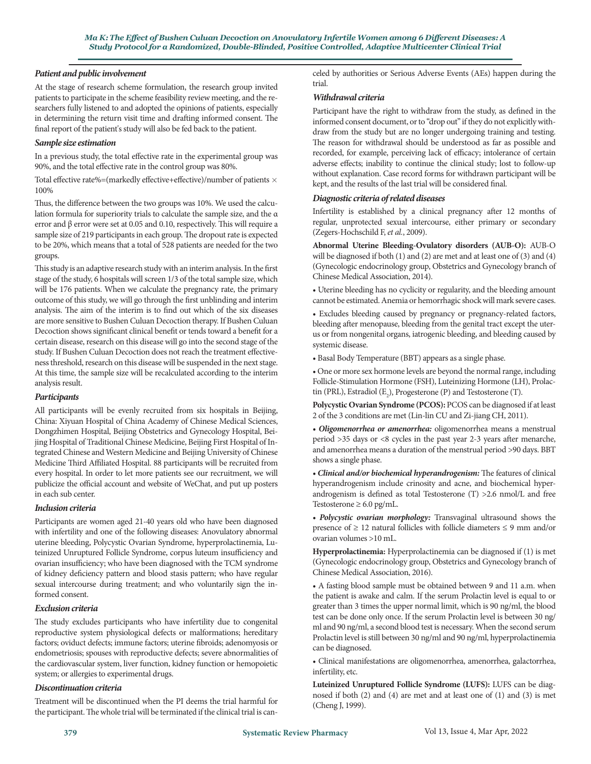# *Patient and public involvement*

At the stage of research scheme formulation, the research group invited patients to participate in the scheme feasibility review meeting, and the researchers fully listened to and adopted the opinions of patients, especially in determining the return visit time and drafting informed consent. The final report of the patient's study will also be fed back to the patient.

## *Sample size estimation*

In a previous study, the total effective rate in the experimental group was 90%, and the total effective rate in the control group was 80%.

Total effective rate%=(markedly effective+effective)/number of patients  $\times$ 100%

Thus, the difference between the two groups was 10%. We used the calculation formula for superiority trials to calculate the sample size, and the α error and β error were set at 0.05 and 0.10, respectively. This will require a sample size of 219 participants in each group. The dropout rate is expected to be 20%, which means that a total of 528 patients are needed for the two groups.

This study is an adaptive research study with an interim analysis. In the first stage of the study, 6 hospitals will screen 1/3 of the total sample size, which will be 176 patients. When we calculate the pregnancy rate, the primary outcome of this study, we will go through the first unblinding and interim analysis. The aim of the interim is to find out which of the six diseases are more sensitive to Bushen Culuan Decoction therapy. If Bushen Culuan Decoction shows significant clinical benefit or tends toward a benefit for a certain disease, research on this disease will go into the second stage of the study. If Bushen Culuan Decoction does not reach the treatment effectiveness threshold, research on this disease will be suspended in the next stage. At this time, the sample size will be recalculated according to the interim analysis result.

## *Participants*

All participants will be evenly recruited from six hospitals in Beijing, China: Xiyuan Hospital of China Academy of Chinese Medical Sciences, Dongzhimen Hospital, Beijing Obstetrics and Gynecology Hospital, Beijing Hospital of Traditional Chinese Medicine, Beijing First Hospital of Integrated Chinese and Western Medicine and Beijing University of Chinese Medicine Third Affiliated Hospital. 88 participants will be recruited from every hospital. In order to let more patients see our recruitment, we will publicize the official account and website of WeChat, and put up posters in each sub center.

## *Inclusion criteria*

Participants are women aged 21-40 years old who have been diagnosed with infertility and one of the following diseases: Anovulatory abnormal uterine bleeding, Polycystic Ovarian Syndrome, hyperprolactinemia, Luteinized Unruptured Follicle Syndrome, corpus luteum insufficiency and ovarian insufficiency; who have been diagnosed with the TCM syndrome of kidney deficiency pattern and blood stasis pattern; who have regular sexual intercourse during treatment; and who voluntarily sign the informed consent.

## *Exclusion criteria*

The study excludes participants who have infertility due to congenital reproductive system physiological defects or malformations; hereditary factors; oviduct defects; immune factors; uterine fibroids; adenomyosis or endometriosis; spouses with reproductive defects; severe abnormalities of the cardiovascular system, liver function, kidney function or hemopoietic system; or allergies to experimental drugs.

## *Discontinuation criteria*

Treatment will be discontinued when the PI deems the trial harmful for the participant. The whole trial will be terminated if the clinical trial is canceled by authorities or Serious Adverse Events (AEs) happen during the trial.

## *Withdrawal criteria*

Participant have the right to withdraw from the study, as defined in the informed consent document, or to "drop out" if they do not explicitly withdraw from the study but are no longer undergoing training and testing. The reason for withdrawal should be understood as far as possible and recorded, for example, perceiving lack of efficacy; intolerance of certain adverse effects; inability to continue the clinical study; lost to follow-up without explanation. Case record forms for withdrawn participant will be kept, and the results of the last trial will be considered final.

# *Diagnostic criteria of related diseases*

Infertility is established by a clinical pregnancy after 12 months of regular, unprotected sexual intercourse, either primary or secondary (Zegers-Hochschild F, *et al.*, 2009).

**Abnormal Uterine Bleeding-Ovulatory disorders (AUB-O):** AUB-O will be diagnosed if both (1) and (2) are met and at least one of (3) and (4) (Gynecologic endocrinology group, Obstetrics and Gynecology branch of Chinese Medical Association, 2014).

• Uterine bleeding has no cyclicity or regularity, and the bleeding amount cannot be estimated. Anemia or hemorrhagic shock will mark severe cases.

• Excludes bleeding caused by pregnancy or pregnancy-related factors, bleeding after menopause, bleeding from the genital tract except the uterus or from nongenital organs, iatrogenic bleeding, and bleeding caused by systemic disease.

• Basal Body Temperature (BBT) appears as a single phase.

• One or more sex hormone levels are beyond the normal range, including Follicle-Stimulation Hormone (FSH), Luteinizing Hormone (LH), Prolactin (PRL), Estradiol  $(E_2)$ , Progesterone (P) and Testosterone (T).

**Polycystic Ovarian Syndrome (PCOS):** PCOS can be diagnosed if at least 2 of the 3 conditions are met (Lin-lin CU and Zi-jiang CH, 2011).

*• Oligomenorrhea or amenorrhea:* oligomenorrhea means a menstrual period >35 days or <8 cycles in the past year 2-3 years after menarche, and amenorrhea means a duration of the menstrual period >90 days. BBT shows a single phase.

*• Clinical and/or biochemical hyperandrogenism:* The features of clinical hyperandrogenism include crinosity and acne, and biochemical hyperandrogenism is defined as total Testosterone (T) >2.6 nmol/L and free Testosterone  $\geq 6.0$  pg/mL.

*• Polycystic ovarian morphology:* Transvaginal ultrasound shows the presence of  $\geq$  12 natural follicles with follicle diameters  $\leq$  9 mm and/or ovarian volumes >10 mL.

**Hyperprolactinemia:** Hyperprolactinemia can be diagnosed if (1) is met (Gynecologic endocrinology group, Obstetrics and Gynecology branch of Chinese Medical Association, 2016).

• A fasting blood sample must be obtained between 9 and 11 a.m. when the patient is awake and calm. If the serum Prolactin level is equal to or greater than 3 times the upper normal limit, which is 90 ng/ml, the blood test can be done only once. If the serum Prolactin level is between 30 ng/ ml and 90 ng/ml, a second blood test is necessary. When the second serum Prolactin level is still between 30 ng/ml and 90 ng/ml, hyperprolactinemia can be diagnosed.

• Clinical manifestations are oligomenorrhea, amenorrhea, galactorrhea, infertility, etc.

**Luteinized Unruptured Follicle Syndrome (LUFS):** LUFS can be diagnosed if both (2) and (4) are met and at least one of (1) and (3) is met (Cheng J, 1999).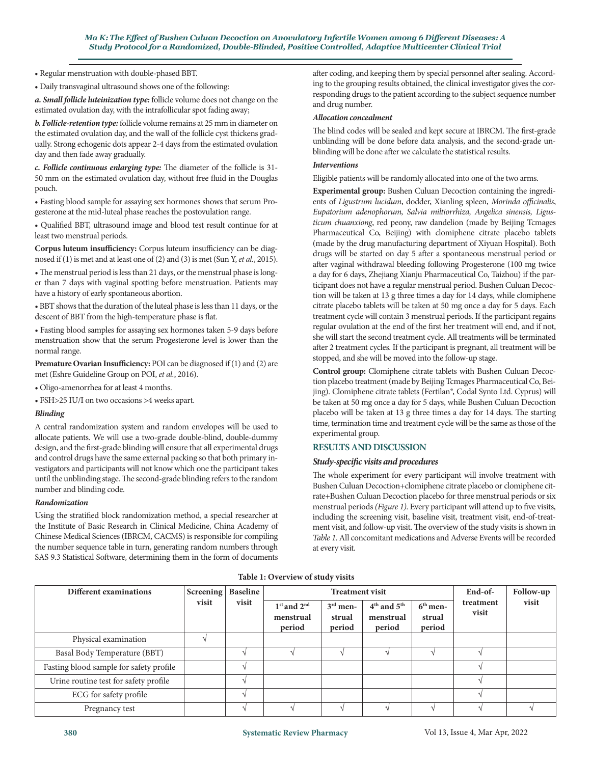• Regular menstruation with double-phased BBT.

• Daily transvaginal ultrasound shows one of the following:

*a. Small follicle luteinization type:* follicle volume does not change on the estimated ovulation day, with the intrafollicular spot fading away;

*b. Follicle-retention type:* follicle volume remains at 25 mm in diameter on the estimated ovulation day, and the wall of the follicle cyst thickens gradually. Strong echogenic dots appear 2-4 days from the estimated ovulation day and then fade away gradually.

*c. Follicle continuous enlarging type:* The diameter of the follicle is 31- 50 mm on the estimated ovulation day, without free fluid in the Douglas pouch.

• Fasting blood sample for assaying sex hormones shows that serum Progesterone at the mid-luteal phase reaches the postovulation range.

• Qualified BBT, ultrasound image and blood test result continue for at least two menstrual periods.

**Corpus luteum insufficiency:** Corpus luteum insufficiency can be diagnosed if (1) is met and at least one of (2) and (3) is met (Sun Y, *et al.*, 2015).

• The menstrual period is less than 21 days, or the menstrual phase is longer than 7 days with vaginal spotting before menstruation. Patients may have a history of early spontaneous abortion.

• BBT shows that the duration of the luteal phase is less than 11 days, or the descent of BBT from the high-temperature phase is flat.

• Fasting blood samples for assaying sex hormones taken 5-9 days before menstruation show that the serum Progesterone level is lower than the normal range.

**Premature Ovarian Insufficiency:** POI can be diagnosed if (1) and (2) are met (Eshre Guideline Group on POI, *et al.*, 2016).

• Oligo-amenorrhea for at least 4 months.

• FSH>25 IU/I on two occasions >4 weeks apart.

## *Blinding*

A central randomization system and random envelopes will be used to allocate patients. We will use a two-grade double-blind, double-dummy design, and the first-grade blinding will ensure that all experimental drugs and control drugs have the same external packing so that both primary investigators and participants will not know which one the participant takes until the unblinding stage. The second-grade blinding refers to the random number and blinding code.

## *Randomization*

Using the stratified block randomization method, a special researcher at the Institute of Basic Research in Clinical Medicine, China Academy of Chinese Medical Sciences (IBRCM, CACMS) is responsible for compiling the number sequence table in turn, generating random numbers through SAS 9.3 Statistical Software, determining them in the form of documents after coding, and keeping them by special personnel after sealing. According to the grouping results obtained, the clinical investigator gives the corresponding drugs to the patient according to the subject sequence number and drug number.

#### *Allocation concealment*

The blind codes will be sealed and kept secure at IBRCM. The first-grade unblinding will be done before data analysis, and the second-grade unblinding will be done after we calculate the statistical results.

## *Interventions*

Eligible patients will be randomly allocated into one of the two arms.

**Experimental group:** Bushen Culuan Decoction containing the ingredients of *Ligustrum lucidum*, dodder, Xianling spleen, *Morinda officinalis*, *Eupatorium adenophorum, Salvia miltiorrhiza, Angelica sinensis, Ligusticum chuanxiong*, red peony, raw dandelion (made by Beijing Tcmages Pharmaceutical Co, Beijing) with clomiphene citrate placebo tablets (made by the drug manufacturing department of Xiyuan Hospital). Both drugs will be started on day 5 after a spontaneous menstrual period or after vaginal withdrawal bleeding following Progesterone (100 mg twice a day for 6 days, Zhejiang Xianju Pharmaceutical Co, Taizhou) if the participant does not have a regular menstrual period. Bushen Culuan Decoction will be taken at 13 g three times a day for 14 days, while clomiphene citrate placebo tablets will be taken at 50 mg once a day for 5 days. Each treatment cycle will contain 3 menstrual periods. If the participant regains regular ovulation at the end of the first her treatment will end, and if not, she will start the second treatment cycle. All treatments will be terminated after 2 treatment cycles. If the participant is pregnant, all treatment will be stopped, and she will be moved into the follow-up stage.

**Control group:** Clomiphene citrate tablets with Bushen Culuan Decoction placebo treatment (made by Beijing Tcmages Pharmaceutical Co, Beijing). Clomiphene citrate tablets (Fertilan*®*, Codal Synto Ltd. Cyprus) will be taken at 50 mg once a day for 5 days, while Bushen Culuan Decoction placebo will be taken at 13 g three times a day for 14 days. The starting time, termination time and treatment cycle will be the same as those of the experimental group.

# **RESULTS AND DISCUSSION**

## *Study-specific visits and procedures*

The whole experiment for every participant will involve treatment with Bushen Culuan Decoction+clomiphene citrate placebo or clomiphene citrate+Bushen Culuan Decoction placebo for three menstrual periods or six menstrual periods *(Figure 1)*. Every participant will attend up to five visits, including the screening visit, baseline visit, treatment visit, end-of-treatment visit, and follow-up visit. The overview of the study visits is shown in *Table 1*. All concomitant medications and Adverse Events will be recorded at every visit.

**Table 1: Overview of study visits**

| Different examinations                  | <b>Screening</b> | <b>Baseline</b> | <b>Treatment visit</b>                 |                                |                                        |                                | End-of-            | Follow-up |
|-----------------------------------------|------------------|-----------------|----------------------------------------|--------------------------------|----------------------------------------|--------------------------------|--------------------|-----------|
|                                         | visit            | visit           | $1st$ and $2nd$<br>menstrual<br>period | $3rd$ men-<br>strual<br>period | $4th$ and $5th$<br>menstrual<br>period | $6th$ men-<br>strual<br>period | treatment<br>visit | visit     |
| Physical examination                    |                  |                 |                                        |                                |                                        |                                |                    |           |
| Basal Body Temperature (BBT)            |                  |                 |                                        |                                |                                        |                                |                    |           |
| Fasting blood sample for safety profile |                  |                 |                                        |                                |                                        |                                |                    |           |
| Urine routine test for safety profile   |                  |                 |                                        |                                |                                        |                                |                    |           |
| ECG for safety profile                  |                  |                 |                                        |                                |                                        |                                |                    |           |
| Pregnancy test                          |                  |                 |                                        |                                |                                        |                                |                    |           |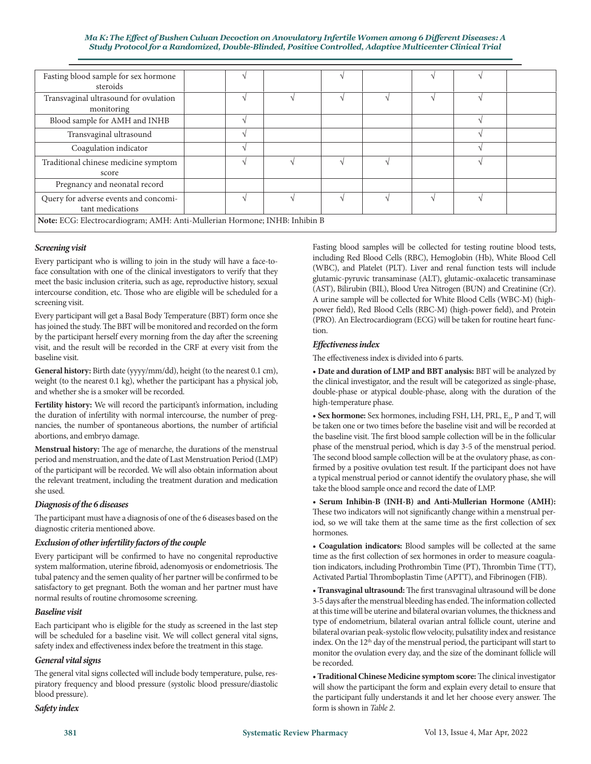#### *tile Women among 6 Different Diseases: A Ma K: The Effect of Bushen Culuan Decoction on Anovulatory Infer Study Protocol for a Randomized, Double-Blinded, Positive Controlled, Adaptive Multicenter Clinical Trial*

| Fasting blood sample for sex hormone<br>steroids                           |  |  |  |  |  |  |  |
|----------------------------------------------------------------------------|--|--|--|--|--|--|--|
| Transvaginal ultrasound for ovulation<br>monitoring                        |  |  |  |  |  |  |  |
| Blood sample for AMH and INHB                                              |  |  |  |  |  |  |  |
| Transvaginal ultrasound                                                    |  |  |  |  |  |  |  |
| Coagulation indicator                                                      |  |  |  |  |  |  |  |
| Traditional chinese medicine symptom<br>score                              |  |  |  |  |  |  |  |
| Pregnancy and neonatal record                                              |  |  |  |  |  |  |  |
| Query for adverse events and concomi-<br>tant medications                  |  |  |  |  |  |  |  |
| Note: ECG: Electrocardiogram; AMH: Anti-Mullerian Hormone; INHB: Inhibin B |  |  |  |  |  |  |  |

## *Screening visit*

Every participant who is willing to join in the study will have a face-toface consultation with one of the clinical investigators to verify that they meet the basic inclusion criteria, such as age, reproductive history, sexual intercourse condition, etc. Those who are eligible will be scheduled for a screening visit.

Every participant will get a Basal Body Temperature (BBT) form once she has joined the study. The BBT will be monitored and recorded on the form by the participant herself every morning from the day after the screening visit, and the result will be recorded in the CRF at every visit from the baseline visit.

**General history:** Birth date (yyyy/mm/dd), height (to the nearest 0.1 cm), weight (to the nearest 0.1 kg), whether the participant has a physical job, and whether she is a smoker will be recorded.

**Fertility history:** We will record the participant's information, including the duration of infertility with normal intercourse, the number of pregnancies, the number of spontaneous abortions, the number of artificial abortions, and embryo damage.

**Menstrual history:** The age of menarche, the durations of the menstrual period and menstruation, and the date of Last Menstruation Period (LMP) of the participant will be recorded. We will also obtain information about the relevant treatment, including the treatment duration and medication she used.

## *Diagnosis of the 6 diseases*

The participant must have a diagnosis of one of the 6 diseases based on the diagnostic criteria mentioned above.

## *Exclusion of other infertility factors of the couple*

Every participant will be confirmed to have no congenital reproductive system malformation, uterine fibroid, adenomyosis or endometriosis. The tubal patency and the semen quality of her partner will be confirmed to be satisfactory to get pregnant. Both the woman and her partner must have normal results of routine chromosome screening.

#### *Baseline visit*

Each participant who is eligible for the study as screened in the last step will be scheduled for a baseline visit. We will collect general vital signs, safety index and effectiveness index before the treatment in this stage.

## *General vital signs*

The general vital signs collected will include body temperature, pulse, respiratory frequency and blood pressure (systolic blood pressure/diastolic blood pressure).

*Safety index* 

Fasting blood samples will be collected for testing routine blood tests, including Red Blood Cells (RBC), Hemoglobin (Hb), White Blood Cell (WBC), and Platelet (PLT). Liver and renal function tests will include glutamic-pyruvic transaminase (ALT), glutamic-oxalacetic transaminase (AST), Bilirubin (BIL), Blood Urea Nitrogen (BUN) and Creatinine (Cr). A urine sample will be collected for White Blood Cells (WBC-M) (highpower field), Red Blood Cells (RBC-M) (high-power field), and Protein (PRO). An Electrocardiogram (ECG) will be taken for routine heart function.

### *Effectiveness index*

The effectiveness index is divided into 6 parts.

**• Date and duration of LMP and BBT analysis:** BBT will be analyzed by the clinical investigator, and the result will be categorized as single-phase, double-phase or atypical double-phase, along with the duration of the high-temperature phase.

 $\bullet$  Sex hormone: Sex hormones, including FSH, LH, PRL,  $\mathrm{E}_2$ , P and T, will be taken one or two times before the baseline visit and will be recorded at the baseline visit. The first blood sample collection will be in the follicular phase of the menstrual period, which is day 3-5 of the menstrual period. The second blood sample collection will be at the ovulatory phase, as confirmed by a positive ovulation test result. If the participant does not have a typical menstrual period or cannot identify the ovulatory phase, she will take the blood sample once and record the date of LMP.

**• Serum Inhibin-B (INH-B) and Anti-Mullerian Hormone (AMH):** These two indicators will not significantly change within a menstrual period, so we will take them at the same time as the first collection of sex hormones.

**• Coagulation indicators:** Blood samples will be collected at the same time as the first collection of sex hormones in order to measure coagulation indicators, including Prothrombin Time (PT), Thrombin Time (TT), Activated Partial Thromboplastin Time (APTT), and Fibrinogen (FIB).

**• Transvaginal ultrasound:** The first transvaginal ultrasound will be done 3-5 days after the menstrual bleeding has ended. The information collected at this time will be uterine and bilateral ovarian volumes, the thickness and type of endometrium, bilateral ovarian antral follicle count, uterine and bilateral ovarian peak-systolic flow velocity, pulsatility index and resistance index. On the 12<sup>th</sup> day of the menstrual period, the participant will start to monitor the ovulation every day, and the size of the dominant follicle will be recorded.

**• Traditional Chinese Medicine symptom score:** The clinical investigator will show the participant the form and explain every detail to ensure that the participant fully understands it and let her choose every answer. The form is shown in *Table 2*.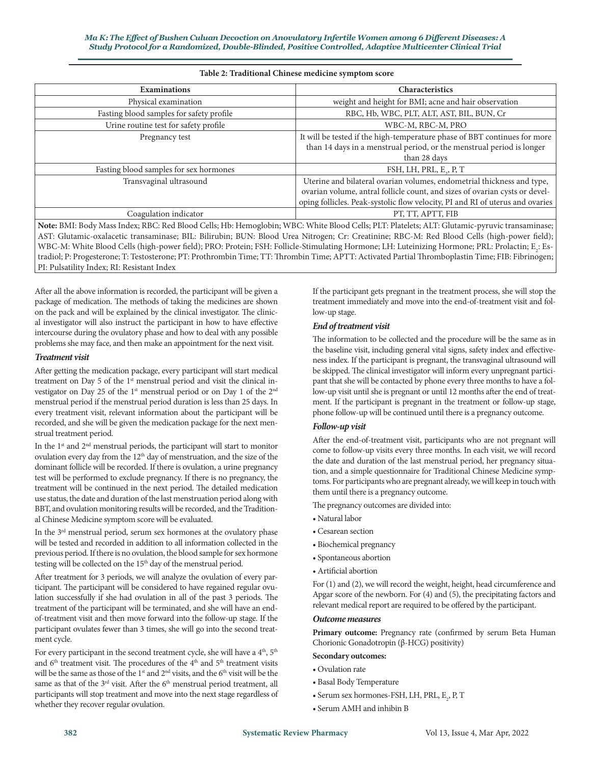| <b>Examinations</b>                      | Characteristics                                                                                                                                                                                                                                                                              |
|------------------------------------------|----------------------------------------------------------------------------------------------------------------------------------------------------------------------------------------------------------------------------------------------------------------------------------------------|
| Physical examination                     | weight and height for BMI; acne and hair observation                                                                                                                                                                                                                                         |
| Fasting blood samples for safety profile | RBC, Hb, WBC, PLT, ALT, AST, BIL, BUN, Cr                                                                                                                                                                                                                                                    |
| Urine routine test for safety profile    | WBC-M, RBC-M, PRO                                                                                                                                                                                                                                                                            |
| Pregnancy test                           | It will be tested if the high-temperature phase of BBT continues for more<br>than 14 days in a menstrual period, or the menstrual period is longer<br>than 28 days                                                                                                                           |
| Fasting blood samples for sex hormones   | FSH, LH, PRL, E., P, T                                                                                                                                                                                                                                                                       |
| Transvaginal ultrasound                  | Uterine and bilateral ovarian volumes, endometrial thickness and type,<br>ovarian volume, antral follicle count, and sizes of ovarian cysts or devel-<br>oping follicles. Peak-systolic flow velocity, PI and RI of uterus and ovaries                                                       |
| Coagulation indicator                    | PT, TT, APTT, FIB                                                                                                                                                                                                                                                                            |
|                                          | Note: BMI: Body Mass Index; RBC: Red Blood Cells; Hb: Hemoglobin; WBC: White Blood Cells; PLT: Platelets; ALT: Glutamic-pyruvic transaminase;<br>ACT. Clutenia avelacetic tecnocuriness, DH, Dilimbia, DHM, Dland Here Mitrogen, Cu, Cusetining, DDC, M, Ded Dland, Celle (bigh novem Celd). |

## **Table 2: Traditional Chinese medicine symptom score**

AST: Glutamic-oxalacetic transaminase; BIL: Bilirubin; BUN: Blood Urea Nitrogen; Cr: Creatinine; RBC-M: Red Blood Cells (high-power field);  $\rm WBC\text{-}M$ : White Blood Cells (high-power field); PRO: Protein; FSH: Follicle-Stimulating Hormone; LH: Luteinizing Hormone; PRL: Prolactin; E<sub>2</sub>: Estradiol; P: Progesterone; T: Testosterone; PT: Prothrombin Time; TT: Thrombin Time; APTT: Activated Partial Thromboplastin Time; FIB: Fibrinogen; PI: Pulsatility Index; RI: Resistant Index

After all the above information is recorded, the participant will be given a package of medication. The methods of taking the medicines are shown on the pack and will be explained by the clinical investigator. The clinical investigator will also instruct the participant in how to have effective intercourse during the ovulatory phase and how to deal with any possible problems she may face, and then make an appointment for the next visit.

### *Treatment visit*

After getting the medication package, every participant will start medical treatment on Day 5 of the 1<sup>st</sup> menstrual period and visit the clinical investigator on Day 25 of the 1<sup>st</sup> menstrual period or on Day 1 of the 2<sup>nd</sup> menstrual period if the menstrual period duration is less than 25 days. In every treatment visit, relevant information about the participant will be recorded, and she will be given the medication package for the next menstrual treatment period.

In the 1<sup>st</sup> and 2<sup>nd</sup> menstrual periods, the participant will start to monitor ovulation every day from the 12<sup>th</sup> day of menstruation, and the size of the dominant follicle will be recorded. If there is ovulation, a urine pregnancy test will be performed to exclude pregnancy. If there is no pregnancy, the treatment will be continued in the next period. The detailed medication use status, the date and duration of the last menstruation period along with BBT, and ovulation monitoring results will be recorded, and the Traditional Chinese Medicine symptom score will be evaluated.

In the 3rd menstrual period, serum sex hormones at the ovulatory phase will be tested and recorded in addition to all information collected in the previous period. If there is no ovulation, the blood sample for sex hormone testing will be collected on the 15<sup>th</sup> day of the menstrual period.

After treatment for 3 periods, we will analyze the ovulation of every participant. The participant will be considered to have regained regular ovulation successfully if she had ovulation in all of the past 3 periods. The treatment of the participant will be terminated, and she will have an endof-treatment visit and then move forward into the follow-up stage. If the participant ovulates fewer than 3 times, she will go into the second treatment cycle.

For every participant in the second treatment cycle, she will have a 4<sup>th</sup>, 5<sup>th</sup> and  $6<sup>th</sup>$  treatment visit. The procedures of the  $4<sup>th</sup>$  and  $5<sup>th</sup>$  treatment visits will be the same as those of the  $1<sup>st</sup>$  and  $2<sup>nd</sup>$  visits, and the  $6<sup>th</sup>$  visit will be the same as that of the  $3^{\text{rd}}$  visit. After the  $6^{\text{th}}$  menstrual period treatment, all participants will stop treatment and move into the next stage regardless of whether they recover regular ovulation.

If the participant gets pregnant in the treatment process, she will stop the treatment immediately and move into the end-of-treatment visit and follow-up stage.

## *End of treatment visit*

The information to be collected and the procedure will be the same as in the baseline visit, including general vital signs, safety index and effectiveness index. If the participant is pregnant, the transvaginal ultrasound will be skipped. The clinical investigator will inform every unpregnant participant that she will be contacted by phone every three months to have a follow-up visit until she is pregnant or until 12 months after the end of treatment. If the participant is pregnant in the treatment or follow-up stage, phone follow-up will be continued until there is a pregnancy outcome.

## *Follow-up visit*

After the end-of-treatment visit, participants who are not pregnant will come to follow-up visits every three months. In each visit, we will record the date and duration of the last menstrual period, her pregnancy situation, and a simple questionnaire for Traditional Chinese Medicine symptoms. For participants who are pregnant already, we will keep in touch with them until there is a pregnancy outcome.

The pregnancy outcomes are divided into:

- Natural labor
- Cesarean section
- Biochemical pregnancy
- Spontaneous abortion
- Artificial abortion

For (1) and (2), we will record the weight, height, head circumference and Apgar score of the newborn. For (4) and (5), the precipitating factors and relevant medical report are required to be offered by the participant.

## *Outcome measures*

Primary outcome: Pregnancy rate (confirmed by serum Beta Human Chorionic Gonadotropin (β-HCG) positivity)

#### **Secondary outcomes:**

- Ovulation rate
- Basal Body Temperature
- $\bullet$  Serum sex hormones-FSH, LH, PRL,  $\text{E}_{2}$ , P, T
- Serum AMH and inhibin B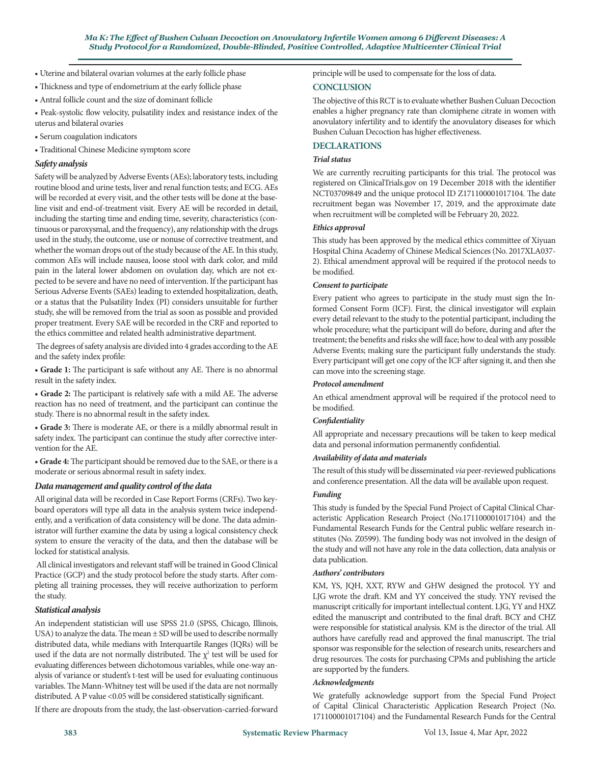- Uterine and bilateral ovarian volumes at the early follicle phase
- Thickness and type of endometrium at the early follicle phase
- Antral follicle count and the size of dominant follicle

• Peak-systolic flow velocity, pulsatility index and resistance index of the uterus and bilateral ovaries

- Serum coagulation indicators
- Traditional Chinese Medicine symptom score

## *Safety analysis*

Safety will be analyzed by Adverse Events (AEs); laboratory tests, including routine blood and urine tests, liver and renal function tests; and ECG. AEs will be recorded at every visit, and the other tests will be done at the baseline visit and end-of-treatment visit. Every AE will be recorded in detail, including the starting time and ending time, severity, characteristics (continuous or paroxysmal, and the frequency), any relationship with the drugs used in the study, the outcome, use or nonuse of corrective treatment, and whether the woman drops out of the study because of the AE. In this study, common AEs will include nausea, loose stool with dark color, and mild pain in the lateral lower abdomen on ovulation day, which are not expected to be severe and have no need of intervention. If the participant has Serious Adverse Events (SAEs) leading to extended hospitalization, death, or a status that the Pulsatility Index (PI) considers unsuitable for further study, she will be removed from the trial as soon as possible and provided proper treatment. Every SAE will be recorded in the CRF and reported to the ethics committee and related health administrative department.

 The degrees of safety analysis are divided into 4 grades according to the AE and the safety index profile:

**• Grade 1:** The participant is safe without any AE. There is no abnormal result in the safety index.

**• Grade 2:** The participant is relatively safe with a mild AE. The adverse reaction has no need of treatment, and the participant can continue the study. There is no abnormal result in the safety index.

**• Grade 3:** There is moderate AE, or there is a mildly abnormal result in safety index. The participant can continue the study after corrective intervention for the AE.

**• Grade 4:** The participant should be removed due to the SAE, or there is a moderate or serious abnormal result in safety index.

## *Data management and quality control of the data*

All original data will be recorded in Case Report Forms (CRFs). Two keyboard operators will type all data in the analysis system twice independently, and a verification of data consistency will be done. The data administrator will further examine the data by using a logical consistency check system to ensure the veracity of the data, and then the database will be locked for statistical analysis.

 All clinical investigators and relevant staff will be trained in Good Clinical Practice (GCP) and the study protocol before the study starts. After completing all training processes, they will receive authorization to perform the study.

## *Statistical analysis*

An independent statistician will use SPSS 21.0 (SPSS, Chicago, Illinois, USA) to analyze the data. The mean  $\pm$  SD will be used to describe normally distributed data, while medians with Interquartile Ranges (IQRs) will be used if the data are not normally distributed. The  $\chi^2$  test will be used for evaluating differences between dichotomous variables, while one-way analysis of variance or student's t-test will be used for evaluating continuous variables. The Mann-Whitney test will be used if the data are not normally distributed. A P value <0.05 will be considered statistically significant.

If there are dropouts from the study, the last-observation-carried-forward

principle will be used to compensate for the loss of data.

# **CONCLUSION**

The objective of this RCT is to evaluate whether Bushen Culuan Decoction enables a higher pregnancy rate than clomiphene citrate in women with anovulatory infertility and to identify the anovulatory diseases for which Bushen Culuan Decoction has higher effectiveness.

## **DECLARATIONS**

## *Trial status*

We are currently recruiting participants for this trial. The protocol was registered on ClinicalTrials.gov on 19 December 2018 with the identifier NCT03709849 and the unique protocol ID Z171100001017104. The date recruitment began was November 17, 2019, and the approximate date when recruitment will be completed will be February 20, 2022.

## *Ethics approval*

This study has been approved by the medical ethics committee of Xiyuan Hospital China Academy of Chinese Medical Sciences (No. 2017XLA037- 2). Ethical amendment approval will be required if the protocol needs to be modified.

### *Consent to participate*

Every patient who agrees to participate in the study must sign the Informed Consent Form (ICF). First, the clinical investigator will explain every detail relevant to the study to the potential participant, including the whole procedure; what the participant will do before, during and after the treatment; the benefits and risks she will face; how to deal with any possible Adverse Events; making sure the participant fully understands the study. Every participant will get one copy of the ICF after signing it, and then she can move into the screening stage.

#### *Protocol amendment*

An ethical amendment approval will be required if the protocol need to be modified.

## *Confidentiality*

All appropriate and necessary precautions will be taken to keep medical data and personal information permanently confidential.

## *Availability of data and materials*

The result of this study will be disseminated *via* peer-reviewed publications and conference presentation. All the data will be available upon request.

#### *Funding*

This study is funded by the Special Fund Project of Capital Clinical Characteristic Application Research Project (No.171100001017104) and the Fundamental Research Funds for the Central public welfare research institutes (No. Z0599). The funding body was not involved in the design of the study and will not have any role in the data collection, data analysis or data publication.

# *Authors' contributors*

KM, YS, JQH, XXT, RYW and GHW designed the protocol. YY and LJG wrote the draft. KM and YY conceived the study. YNY revised the manuscript critically for important intellectual content. LJG, YY and HXZ edited the manuscript and contributed to the final draft. BCY and CHZ were responsible for statistical analysis. KM is the director of the trial. All authors have carefully read and approved the final manuscript. The trial sponsor was responsible for the selection of research units, researchers and drug resources. The costs for purchasing CPMs and publishing the article are supported by the funders.

#### *Acknowledgments*

We gratefully acknowledge support from the Special Fund Project of Capital Clinical Characteristic Application Research Project (No. 171100001017104) and the Fundamental Research Funds for the Central